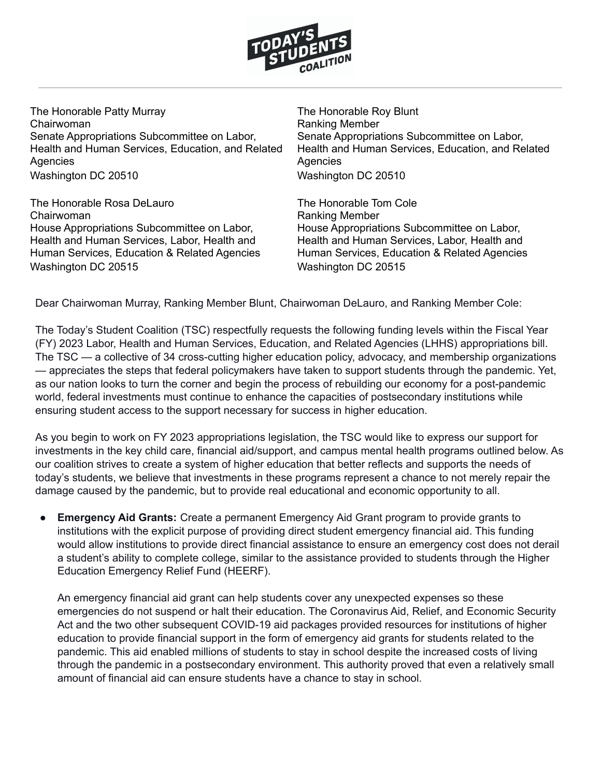

The Honorable Patty Murray Chairwoman Senate Appropriations Subcommittee on Labor, Health and Human Services, Education, and Related Agencies Washington DC 20510

The Honorable Rosa DeLauro Chairwoman House Appropriations Subcommittee on Labor, Health and Human Services, Labor, Health and Human Services, Education & Related Agencies Washington DC 20515

The Honorable Roy Blunt Ranking Member Senate Appropriations Subcommittee on Labor, Health and Human Services, Education, and Related Agencies Washington DC 20510

The Honorable Tom Cole Ranking Member House Appropriations Subcommittee on Labor, Health and Human Services, Labor, Health and Human Services, Education & Related Agencies Washington DC 20515

Dear Chairwoman Murray, Ranking Member Blunt, Chairwoman DeLauro, and Ranking Member Cole:

The Today's Student Coalition (TSC) respectfully requests the following funding levels within the Fiscal Year (FY) 2023 Labor, Health and Human Services, Education, and Related Agencies (LHHS) appropriations bill. The TSC — a collective of 34 cross-cutting higher education policy, advocacy, and membership organizations — appreciates the steps that federal policymakers have taken to support students through the pandemic. Yet, as our nation looks to turn the corner and begin the process of rebuilding our economy for a post-pandemic world, federal investments must continue to enhance the capacities of postsecondary institutions while ensuring student access to the support necessary for success in higher education.

As you begin to work on FY 2023 appropriations legislation, the TSC would like to express our support for investments in the key child care, financial aid/support, and campus mental health programs outlined below. As our coalition strives to create a system of higher education that better reflects and supports the needs of today's students, we believe that investments in these programs represent a chance to not merely repair the damage caused by the pandemic, but to provide real educational and economic opportunity to all.

**Emergency Aid Grants:** Create a permanent Emergency Aid Grant program to provide grants to institutions with the explicit purpose of providing direct student emergency financial aid. This funding would allow institutions to provide direct financial assistance to ensure an emergency cost does not derail a student's ability to complete college, similar to the assistance provided to students through the Higher Education Emergency Relief Fund (HEERF).

An emergency financial aid grant can help students cover any unexpected expenses so these emergencies do not suspend or halt their education. The Coronavirus Aid, Relief, and Economic Security Act and the two other subsequent COVID-19 aid packages provided resources for institutions of higher education to provide financial support in the form of emergency aid grants for students related to the pandemic. This aid enabled millions of students to stay in school despite the increased costs of living through the pandemic in a postsecondary environment. This authority proved that even a relatively small amount of financial aid can ensure students have a chance to stay in school.